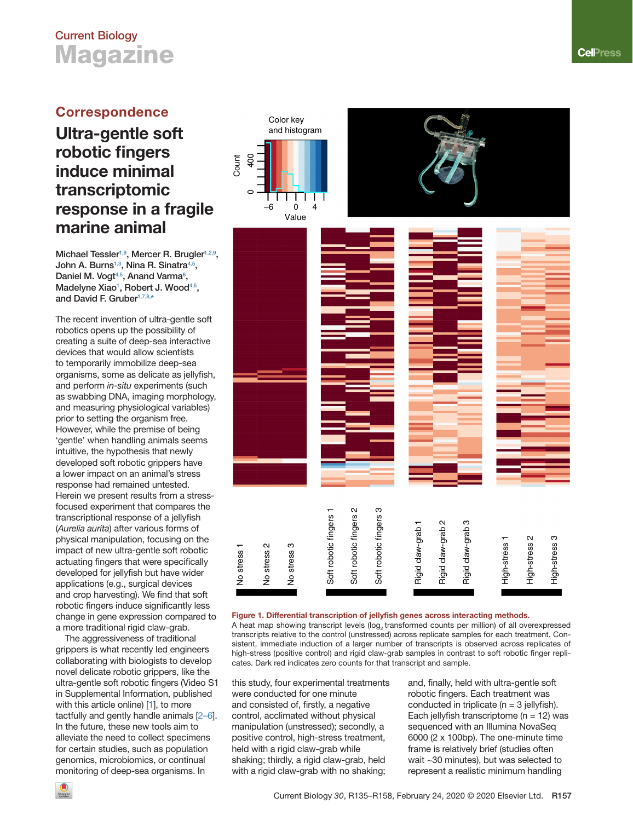# <span id="page-0-0"></span>**Current Biology Magazine**

### **Correspondence**

## **Ultra-gentle soft robotic fingers induce minimal transcriptomic response in a fragile marine animal**

**Michael Tessler[1,9,](#page-1-0) Mercer R. Brugler[1,2,9,](#page-1-0) John A. Burns[1,3,](#page-1-0) Nina R. Sinatr[a4,5,](#page-1-0) Daniel M. Vogt[4,5,](#page-1-0) Anand Varma6 [,](#page-1-0)  Madelyne Xiao1 , Robert J. Wood[4,5,](#page-1-0) and David F. Gruber[1,7,8,\\*](#page-1-0)**

The recent invention of ultra-gentle soft robotics opens up the possibility of creating a suite of deep-sea interactive devices that would allow scientists to temporarily immobilize deep-sea organisms, some as delicate as jellyfish, and perform *in-situ* experiments (such as swabbing DNA, imaging morphology, and measuring physiological variables) prior to setting the organism free. However, while the premise of being 'gentle' when handling animals seems intuitive, the hypothesis that newly developed soft robotic grippers have a lower impact on an animal's stress response had remained untested. Herein we present results from a stressfocused experiment that compares the transcriptional response of a jellyfish (*Aurelia aurita*) after various forms of physical manipulation, focusing on the impact of new ultra-gentle soft robotic actuating fingers that were specifically developed for jellyfish but have wider applications (e.g., surgical devices and crop harvesting). We find that soft robotic fingers induce significantly less change in gene expression compared to a more traditional rigid claw-grab.

The aggressiveness of traditional grippers is what recently led engineers collaborating with biologists to develop novel delicate robotic grippers, like the ultra-gentle soft robotic fingers (Video S1 in Supplemental Information, published with this article online) [\[1\]](#page-1-0), to more tactfully and gently handle animals [\[2–6\]](#page-1-0). In the future, these new tools aim to alleviate the need to collect specimens for certain studies, such as population genomics, microbiomics, or continual monitoring of deep-sea organisms. In



#### Figure 1. Differential transcription of jellyfish genes across interacting methods.

A heat map showing transcript levels (log, transformed counts per million) of all overexpressed transcripts relative to the control (unstressed) across replicate samples for each treatment. Consistent, immediate induction of a larger number of transcripts is observed across replicates of high-stress (positive control) and rigid claw-grab samples in contrast to soft robotic finger replicates. Dark red indicates zero counts for that transcript and sample.

this study, four experimental treatments were conducted for one minute and consisted of, firstly, a negative control, acclimated without physical manipulation (unstressed); secondly, a positive control, high-stress treatment, held with a rigid claw-grab while shaking; thirdly, a rigid claw-grab, held with a rigid claw-grab with no shaking;

and, finally, held with ultra-gentle soft robotic fingers. Each treatment was conducted in triplicate ( $n = 3$  jellyfish). Each jellyfish transcriptome ( $n = 12$ ) was sequenced with an Illumina NovaSeq 6000 (2 x 100bp). The one-minute time frame is relatively brief (studies often wait ~30 minutes), but was selected to represent a realistic minimum handling